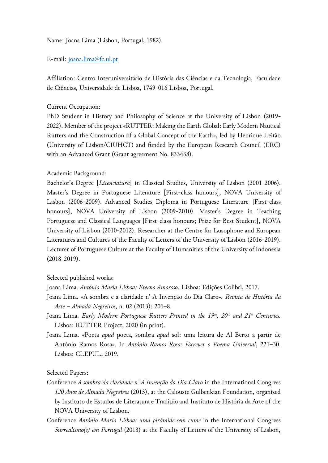Name: Joana Lima (Lisbon, Portugal, 1982).

E-mail: [joana.lima@fc.ul.pt](mailto:joana.lima@fc.ul.pt)

Affiliation: Centro Interuniversitário de História das Ciências e da Tecnologia, Faculdade de Ciências, Universidade de Lisboa, 1749-016 Lisboa, Portugal.

Current Occupation:

PhD Student in History and Philosophy of Science at the University of Lisbon (2019- 2022). Member of the project «RUTTER: Making the Earth Global: Early Modern Nautical Rutters and the Construction of a Global Concept of the Earth», led by Henrique Leitão (University of Lisbon/CIUHCT) and funded by the European Research Council (ERC) with an Advanced Grant (Grant agreement No. 833438).

## Academic Background:

Bachelor's Degree [*Licenciatura*] in Classical Studies, University of Lisbon (2001-2006). Master's Degree in Portuguese Literature [First-class honours], NOVA University of Lisbon (2006-2009). Advanced Studies Diploma in Portuguese Literature [First-class honours], NOVA University of Lisbon (2009-2010). Master's Degree in Teaching Portuguese and Classical Languages [First-class honours; Prize for Best Student], NOVA University of Lisbon (2010-2012). Researcher at the Centre for Lusophone and European Literatures and Cultures of the Faculty of Letters of the University of Lisbon (2016-2019). Lecturer of Portuguese Culture at the Faculty of Humanities of the University of Indonesia (2018-2019).

## Selected published works:

Joana Lima. *António Maria Lisboa: Eterno Amoroso*. Lisboa: Edições Colibri, 2017.

- Joana Lima. «A sombra e a claridade n' A Invenção do Dia Claro». *Revista de História da Arte – Almada Negreiros*, n. 02 (2013): 201–8.
- Joana Lima. *Early Modern Portuguese Rutters Printed in the 19th, 20th and 21st Centuries.* Lisboa: RUTTER Project, 2020 (in print).
- Joana Lima. «Poeta *apud* poeta, sombra *apud* sol: uma leitura de Al Berto a partir de António Ramos Rosa». In *António Ramos Rosa: Escrever o Poema Universal*, 221–30. Lisboa: CLEPUL, 2019.

## Selected Papers:

- Conference *A sombra da claridade n' A Invenção do Dia Claro* in the International Congress *120 Anos de Almada Negreiros* (2013), at the Calouste Gulbenkian Foundation, organized by Instituto de Estudos de Literatura e Tradição and Instituto de História da Arte of the NOVA University of Lisbon.
- Conference *António Maria Lisboa: uma pirâmide sem cume* in the International Congress *Surrealismo(s) em Portugal* (2013) at the Faculty of Letters of the University of Lisbon,